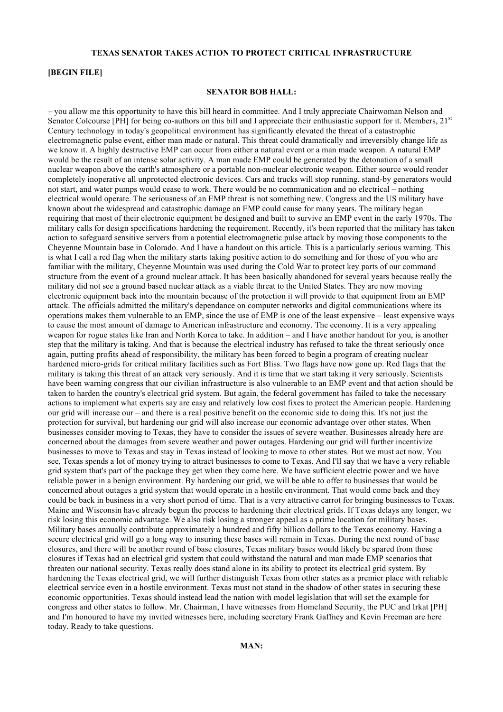# **TEXAS SENATOR TAKES ACTION TO PROTECT CRITICAL INFRASTRUCTURE**

# **[BEGIN FILE]**

## **SENATOR BOB HALL:**

– you allow me this opportunity to have this bill heard in committee. And I truly appreciate Chairwoman Nelson and Senator Colcourse [PH] for being co-authors on this bill and I appreciate their enthusiastic support for it. Members, 21<sup>st</sup> Century technology in today's geopolitical environment has significantly elevated the threat of a catastrophic electromagnetic pulse event, either man made or natural. This threat could dramatically and irreversibly change life as we know it. A highly destructive EMP can occur from either a natural event or a man made weapon. A natural EMP would be the result of an intense solar activity. A man made EMP could be generated by the detonation of a small nuclear weapon above the earth's atmosphere or a portable non-nuclear electronic weapon. Either source would render completely inoperative all unprotected electronic devices. Cars and trucks will stop running, stand-by generators would not start, and water pumps would cease to work. There would be no communication and no electrical – nothing electrical would operate. The seriousness of an EMP threat is not something new. Congress and the US military have known about the widespread and catastrophic damage an EMP could cause for many years. The military began requiring that most of their electronic equipment be designed and built to survive an EMP event in the early 1970s. The military calls for design specifications hardening the requirement. Recently, it's been reported that the military has taken action to safeguard sensitive servers from a potential electromagnetic pulse attack by moving those components to the Cheyenne Mountain base in Colorado. And I have a handout on this article. This is a particularly serious warning. This is what I call a red flag when the military starts taking positive action to do something and for those of you who are familiar with the military, Cheyenne Mountain was used during the Cold War to protect key parts of our command structure from the event of a ground nuclear attack. It has been basically abandoned for several years because really the military did not see a ground based nuclear attack as a viable threat to the United States. They are now moving electronic equipment back into the mountain because of the protection it will provide to that equipment from an EMP attack. The officials admitted the military's dependance on computer networks and digital communications where its operations makes them vulnerable to an EMP, since the use of EMP is one of the least expensive – least expensive ways to cause the most amount of damage to American infrastructure and economy. The economy. It is a very appealing weapon for rogue states like Iran and North Korea to take. In addition – and I have another handout for you, is another step that the military is taking. And that is because the electrical industry has refused to take the threat seriously once again, putting profits ahead of responsibility, the military has been forced to begin a program of creating nuclear hardened micro-grids for critical military facilities such as Fort Bliss. Two flags have now gone up. Red flags that the military is taking this threat of an attack very seriously. And it is time that we start taking it very seriously. Scientists have been warning congress that our civilian infrastructure is also vulnerable to an EMP event and that action should be taken to harden the country's electrical grid system. But again, the federal government has failed to take the necessary actions to implement what experts say are easy and relatively low cost fixes to protect the American people. Hardening our grid will increase our – and there is a real positive benefit on the economic side to doing this. It's not just the protection for survival, but hardening our grid will also increase our economic advantage over other states. When businesses consider moving to Texas, they have to consider the issues of severe weather. Businesses already here are concerned about the damages from severe weather and power outages. Hardening our grid will further incentivize businesses to move to Texas and stay in Texas instead of looking to move to other states. But we must act now. You see, Texas spends a lot of money trying to attract businesses to come to Texas. And I'll say that we have a very reliable grid system that's part of the package they get when they come here. We have sufficient electric power and we have reliable power in a benign environment. By hardening our grid, we will be able to offer to businesses that would be concerned about outages a grid system that would operate in a hostile environment. That would come back and they could be back in business in a very short period of time. That is a very attractive carrot for bringing businesses to Texas. Maine and Wisconsin have already begun the process to hardening their electrical grids. If Texas delays any longer, we risk losing this economic advantage. We also risk losing a stronger appeal as a prime location for military bases. Military bases annually contribute approximately a hundred and fifty billion dollars to the Texas economy. Having a secure electrical grid will go a long way to insuring these bases will remain in Texas. During the next round of base closures, and there will be another round of base closures, Texas military bases would likely be spared from those closures if Texas had an electrical grid system that could withstand the natural and man made EMP scenarios that threaten our national security. Texas really does stand alone in its ability to protect its electrical grid system. By hardening the Texas electrical grid, we will further distinguish Texas from other states as a premier place with reliable electrical service even in a hostile environment. Texas must not stand in the shadow of other states in securing these economic opportunities. Texas should instead lead the nation with model legislation that will set the example for congress and other states to follow. Mr. Chairman, I have witnesses from Homeland Security, the PUC and Irkat [PH] and I'm honoured to have my invited witnesses here, including secretary Frank Gaffney and Kevin Freeman are here today. Ready to take questions.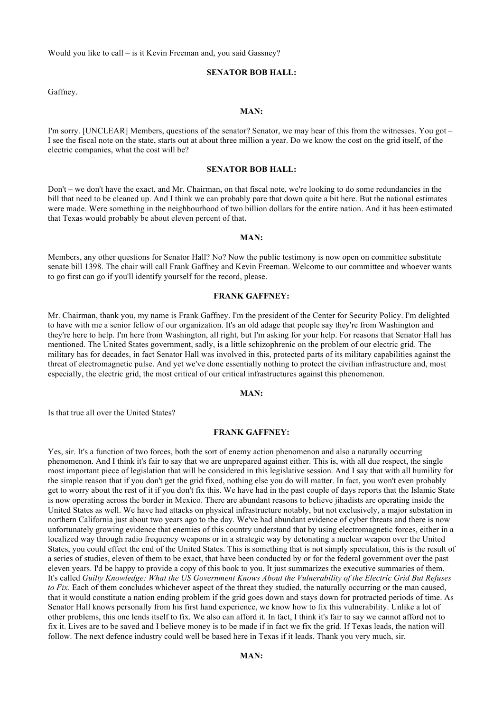Would you like to call – is it Kevin Freeman and, you said Gassney?

# **SENATOR BOB HALL:**

Gaffney.

#### **MAN:**

I'm sorry. [UNCLEAR] Members, questions of the senator? Senator, we may hear of this from the witnesses. You got – I see the fiscal note on the state, starts out at about three million a year. Do we know the cost on the grid itself, of the electric companies, what the cost will be?

# **SENATOR BOB HALL:**

Don't – we don't have the exact, and Mr. Chairman, on that fiscal note, we're looking to do some redundancies in the bill that need to be cleaned up. And I think we can probably pare that down quite a bit here. But the national estimates were made. Were something in the neighbourhood of two billion dollars for the entire nation. And it has been estimated that Texas would probably be about eleven percent of that.

#### **MAN:**

Members, any other questions for Senator Hall? No? Now the public testimony is now open on committee substitute senate bill 1398. The chair will call Frank Gaffney and Kevin Freeman. Welcome to our committee and whoever wants to go first can go if you'll identify yourself for the record, please.

#### **FRANK GAFFNEY:**

Mr. Chairman, thank you, my name is Frank Gaffney. I'm the president of the Center for Security Policy. I'm delighted to have with me a senior fellow of our organization. It's an old adage that people say they're from Washington and they're here to help. I'm here from Washington, all right, but I'm asking for your help. For reasons that Senator Hall has mentioned. The United States government, sadly, is a little schizophrenic on the problem of our electric grid. The military has for decades, in fact Senator Hall was involved in this, protected parts of its military capabilities against the threat of electromagnetic pulse. And yet we've done essentially nothing to protect the civilian infrastructure and, most especially, the electric grid, the most critical of our critical infrastructures against this phenomenon.

#### **MAN:**

Is that true all over the United States?

### **FRANK GAFFNEY:**

Yes, sir. It's a function of two forces, both the sort of enemy action phenomenon and also a naturally occurring phenomenon. And I think it's fair to say that we are unprepared against either. This is, with all due respect, the single most important piece of legislation that will be considered in this legislative session. And I say that with all humility for the simple reason that if you don't get the grid fixed, nothing else you do will matter. In fact, you won't even probably get to worry about the rest of it if you don't fix this. We have had in the past couple of days reports that the Islamic State is now operating across the border in Mexico. There are abundant reasons to believe jihadists are operating inside the United States as well. We have had attacks on physical infrastructure notably, but not exclusively, a major substation in northern California just about two years ago to the day. We've had abundant evidence of cyber threats and there is now unfortunately growing evidence that enemies of this country understand that by using electromagnetic forces, either in a localized way through radio frequency weapons or in a strategic way by detonating a nuclear weapon over the United States, you could effect the end of the United States. This is something that is not simply speculation, this is the result of a series of studies, eleven of them to be exact, that have been conducted by or for the federal government over the past eleven years. I'd be happy to provide a copy of this book to you. It just summarizes the executive summaries of them. It's called *Guilty Knowledge: What the US Government Knows About the Vulnerability of the Electric Grid But Refuses to Fix.* Each of them concludes whichever aspect of the threat they studied, the naturally occurring or the man caused, that it would constitute a nation ending problem if the grid goes down and stays down for protracted periods of time. As Senator Hall knows personally from his first hand experience, we know how to fix this vulnerability. Unlike a lot of other problems, this one lends itself to fix. We also can afford it. In fact, I think it's fair to say we cannot afford not to fix it. Lives are to be saved and I believe money is to be made if in fact we fix the grid. If Texas leads, the nation will follow. The next defence industry could well be based here in Texas if it leads. Thank you very much, sir.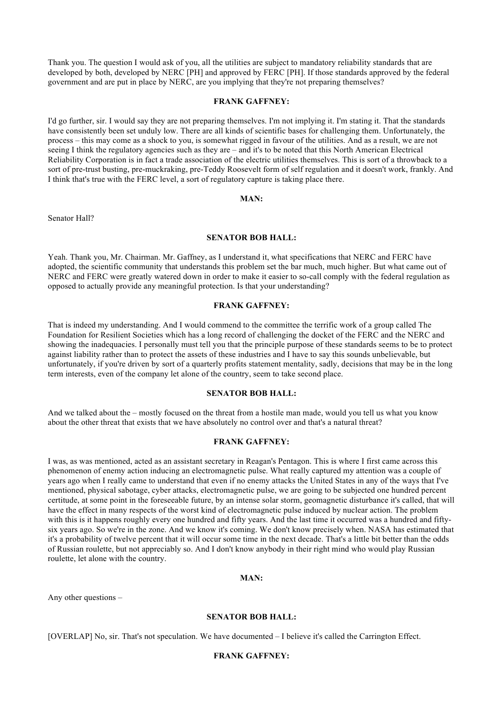Thank you. The question I would ask of you, all the utilities are subject to mandatory reliability standards that are developed by both, developed by NERC [PH] and approved by FERC [PH]. If those standards approved by the federal government and are put in place by NERC, are you implying that they're not preparing themselves?

### **FRANK GAFFNEY:**

I'd go further, sir. I would say they are not preparing themselves. I'm not implying it. I'm stating it. That the standards have consistently been set unduly low. There are all kinds of scientific bases for challenging them. Unfortunately, the process – this may come as a shock to you, is somewhat rigged in favour of the utilities. And as a result, we are not seeing I think the regulatory agencies such as they are – and it's to be noted that this North American Electrical Reliability Corporation is in fact a trade association of the electric utilities themselves. This is sort of a throwback to a sort of pre-trust busting, pre-muckraking, pre-Teddy Roosevelt form of self regulation and it doesn't work, frankly. And I think that's true with the FERC level, a sort of regulatory capture is taking place there.

## **MAN:**

Senator Hall?

# **SENATOR BOB HALL:**

Yeah. Thank you, Mr. Chairman. Mr. Gaffney, as I understand it, what specifications that NERC and FERC have adopted, the scientific community that understands this problem set the bar much, much higher. But what came out of NERC and FERC were greatly watered down in order to make it easier to so-call comply with the federal regulation as opposed to actually provide any meaningful protection. Is that your understanding?

#### **FRANK GAFFNEY:**

That is indeed my understanding. And I would commend to the committee the terrific work of a group called The Foundation for Resilient Societies which has a long record of challenging the docket of the FERC and the NERC and showing the inadequacies. I personally must tell you that the principle purpose of these standards seems to be to protect against liability rather than to protect the assets of these industries and I have to say this sounds unbelievable, but unfortunately, if you're driven by sort of a quarterly profits statement mentality, sadly, decisions that may be in the long term interests, even of the company let alone of the country, seem to take second place.

## **SENATOR BOB HALL:**

And we talked about the – mostly focused on the threat from a hostile man made, would you tell us what you know about the other threat that exists that we have absolutely no control over and that's a natural threat?

# **FRANK GAFFNEY:**

I was, as was mentioned, acted as an assistant secretary in Reagan's Pentagon. This is where I first came across this phenomenon of enemy action inducing an electromagnetic pulse. What really captured my attention was a couple of years ago when I really came to understand that even if no enemy attacks the United States in any of the ways that I've mentioned, physical sabotage, cyber attacks, electromagnetic pulse, we are going to be subjected one hundred percent certitude, at some point in the foreseeable future, by an intense solar storm, geomagnetic disturbance it's called, that will have the effect in many respects of the worst kind of electromagnetic pulse induced by nuclear action. The problem with this is it happens roughly every one hundred and fifty years. And the last time it occurred was a hundred and fiftysix years ago. So we're in the zone. And we know it's coming. We don't know precisely when. NASA has estimated that it's a probability of twelve percent that it will occur some time in the next decade. That's a little bit better than the odds of Russian roulette, but not appreciably so. And I don't know anybody in their right mind who would play Russian roulette, let alone with the country.

# **MAN:**

Any other questions –

## **SENATOR BOB HALL:**

[OVERLAP] No, sir. That's not speculation. We have documented – I believe it's called the Carrington Effect.

# **FRANK GAFFNEY:**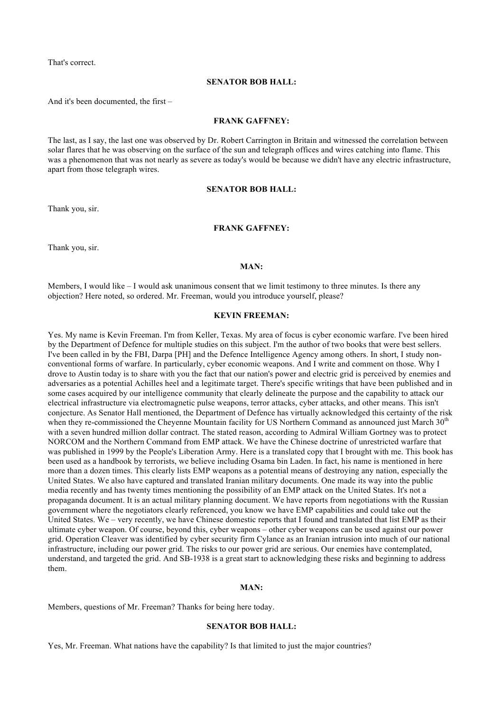That's correct.

#### **SENATOR BOB HALL:**

And it's been documented, the first –

#### **FRANK GAFFNEY:**

The last, as I say, the last one was observed by Dr. Robert Carrington in Britain and witnessed the correlation between solar flares that he was observing on the surface of the sun and telegraph offices and wires catching into flame. This was a phenomenon that was not nearly as severe as today's would be because we didn't have any electric infrastructure, apart from those telegraph wires.

### **SENATOR BOB HALL:**

Thank you, sir.

# **FRANK GAFFNEY:**

Thank you, sir.

### **MAN:**

Members, I would like – I would ask unanimous consent that we limit testimony to three minutes. Is there any objection? Here noted, so ordered. Mr. Freeman, would you introduce yourself, please?

#### **KEVIN FREEMAN:**

Yes. My name is Kevin Freeman. I'm from Keller, Texas. My area of focus is cyber economic warfare. I've been hired by the Department of Defence for multiple studies on this subject. I'm the author of two books that were best sellers. I've been called in by the FBI, Darpa [PH] and the Defence Intelligence Agency among others. In short, I study nonconventional forms of warfare. In particularly, cyber economic weapons. And I write and comment on those. Why I drove to Austin today is to share with you the fact that our nation's power and electric grid is perceived by enemies and adversaries as a potential Achilles heel and a legitimate target. There's specific writings that have been published and in some cases acquired by our intelligence community that clearly delineate the purpose and the capability to attack our electrical infrastructure via electromagnetic pulse weapons, terror attacks, cyber attacks, and other means. This isn't conjecture. As Senator Hall mentioned, the Department of Defence has virtually acknowledged this certainty of the risk when they re-commissioned the Cheyenne Mountain facility for US Northern Command as announced just March  $30<sup>th</sup>$ with a seven hundred million dollar contract. The stated reason, according to Admiral William Gortney was to protect NORCOM and the Northern Command from EMP attack. We have the Chinese doctrine of unrestricted warfare that was published in 1999 by the People's Liberation Army. Here is a translated copy that I brought with me. This book has been used as a handbook by terrorists, we believe including Osama bin Laden. In fact, his name is mentioned in here more than a dozen times. This clearly lists EMP weapons as a potential means of destroying any nation, especially the United States. We also have captured and translated Iranian military documents. One made its way into the public media recently and has twenty times mentioning the possibility of an EMP attack on the United States. It's not a propaganda document. It is an actual military planning document. We have reports from negotiations with the Russian government where the negotiators clearly referenced, you know we have EMP capabilities and could take out the United States. We – very recently, we have Chinese domestic reports that I found and translated that list EMP as their ultimate cyber weapon. Of course, beyond this, cyber weapons – other cyber weapons can be used against our power grid. Operation Cleaver was identified by cyber security firm Cylance as an Iranian intrusion into much of our national infrastructure, including our power grid. The risks to our power grid are serious. Our enemies have contemplated, understand, and targeted the grid. And SB-1938 is a great start to acknowledging these risks and beginning to address them.

#### **MAN:**

Members, questions of Mr. Freeman? Thanks for being here today.

#### **SENATOR BOB HALL:**

Yes, Mr. Freeman. What nations have the capability? Is that limited to just the major countries?